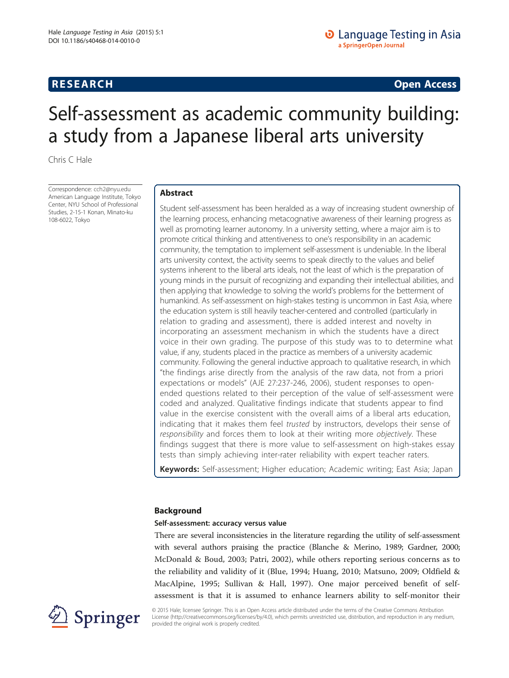# **RESEARCH CHINESE ARCH CHINESE ARCH CHINESE ARCH**

# Self-assessment as academic community building: a study from a Japanese liberal arts university

Chris C Hale

Correspondence: [cch2@nyu.edu](mailto:cch2@nyu.edu) American Language Institute, Tokyo Center, NYU School of Professional Studies, 2-15-1 Konan, Minato-ku 108-6022, Tokyo

## Abstract

Student self-assessment has been heralded as a way of increasing student ownership of the learning process, enhancing metacognative awareness of their learning progress as well as promoting learner autonomy. In a university setting, where a major aim is to promote critical thinking and attentiveness to one's responsibility in an academic community, the temptation to implement self-assessment is undeniable. In the liberal arts university context, the activity seems to speak directly to the values and belief systems inherent to the liberal arts ideals, not the least of which is the preparation of young minds in the pursuit of recognizing and expanding their intellectual abilities, and then applying that knowledge to solving the world's problems for the betterment of humankind. As self-assessment on high-stakes testing is uncommon in East Asia, where the education system is still heavily teacher-centered and controlled (particularly in relation to grading and assessment), there is added interest and novelty in incorporating an assessment mechanism in which the students have a direct voice in their own grading. The purpose of this study was to to determine what value, if any, students placed in the practice as members of a university academic community. Following the general inductive approach to qualitative research, in which "the findings arise directly from the analysis of the raw data, not from a priori expectations or models" (AJE 27:237-246, 2006), student responses to openended questions related to their perception of the value of self-assessment were coded and analyzed. Qualitative findings indicate that students appear to find value in the exercise consistent with the overall aims of a liberal arts education, indicating that it makes them feel trusted by instructors, develops their sense of responsibility and forces them to look at their writing more objectively. These findings suggest that there is more value to self-assessment on high-stakes essay tests than simply achieving inter-rater reliability with expert teacher raters.

Keywords: Self-assessment; Higher education; Academic writing; East Asia; Japan

# Background

### Self-assessment: accuracy versus value

There are several inconsistencies in the literature regarding the utility of self-assessment with several authors praising the practice (Blanche & Merino, [1989](#page-11-0); Gardner, [2000](#page-11-0); McDonald & Boud, [2003;](#page-11-0) Patri, [2002](#page-11-0)), while others reporting serious concerns as to the reliability and validity of it (Blue, [1994;](#page-11-0) Huang, [2010;](#page-11-0) Matsuno, [2009](#page-11-0); Oldfield & MacAlpine, [1995;](#page-11-0) Sullivan & Hall, [1997](#page-11-0)). One major perceived benefit of selfassessment is that it is assumed to enhance learners ability to self-monitor their



© 2015 Hale; licensee Springer. This is an Open Access article distributed under the terms of the Creative Commons Attribution License [\(http://creativecommons.org/licenses/by/4.0\)](http://creativecommons.org/licenses/by/4.0), which permits unrestricted use, distribution, and reproduction in any medium, provided the original work is properly credited.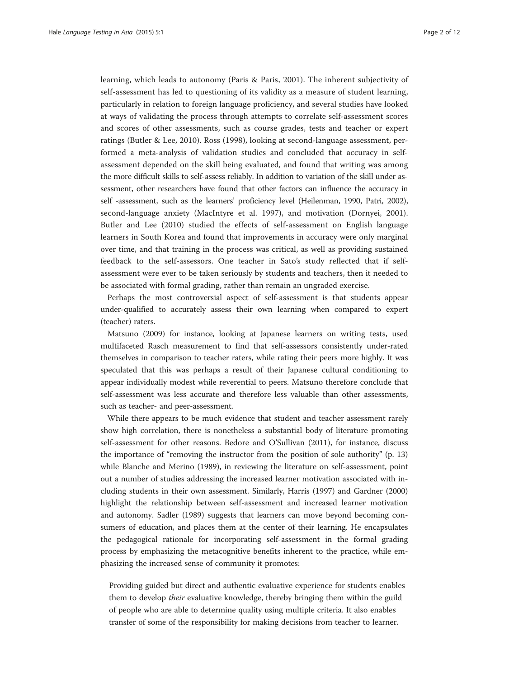learning, which leads to autonomy (Paris & Paris, [2001](#page-11-0)). The inherent subjectivity of self-assessment has led to questioning of its validity as a measure of student learning, particularly in relation to foreign language proficiency, and several studies have looked at ways of validating the process through attempts to correlate self-assessment scores and scores of other assessments, such as course grades, tests and teacher or expert ratings (Butler & Lee, [2010](#page-11-0)). Ross ([1998](#page-11-0)), looking at second-language assessment, performed a meta-analysis of validation studies and concluded that accuracy in selfassessment depended on the skill being evaluated, and found that writing was among the more difficult skills to self-assess reliably. In addition to variation of the skill under assessment, other researchers have found that other factors can influence the accuracy in self -assessment, such as the learners' proficiency level (Heilenman, [1990,](#page-11-0) Patri, [2002](#page-11-0)), second-language anxiety (MacIntyre et al. [1997](#page-11-0)), and motivation (Dornyei, [2001](#page-11-0)). Butler and Lee [\(2010](#page-11-0)) studied the effects of self-assessment on English language learners in South Korea and found that improvements in accuracy were only marginal over time, and that training in the process was critical, as well as providing sustained feedback to the self-assessors. One teacher in Sato's study reflected that if selfassessment were ever to be taken seriously by students and teachers, then it needed to be associated with formal grading, rather than remain an ungraded exercise.

Perhaps the most controversial aspect of self-assessment is that students appear under-qualified to accurately assess their own learning when compared to expert (teacher) raters.

Matsuno [\(2009](#page-11-0)) for instance, looking at Japanese learners on writing tests, used multifaceted Rasch measurement to find that self-assessors consistently under-rated themselves in comparison to teacher raters, while rating their peers more highly. It was speculated that this was perhaps a result of their Japanese cultural conditioning to appear individually modest while reverential to peers. Matsuno therefore conclude that self-assessment was less accurate and therefore less valuable than other assessments, such as teacher- and peer-assessment.

While there appears to be much evidence that student and teacher assessment rarely show high correlation, there is nonetheless a substantial body of literature promoting self-assessment for other reasons. Bedore and O'Sullivan [\(2011\)](#page-11-0), for instance, discuss the importance of "removing the instructor from the position of sole authority" (p. 13) while Blanche and Merino [\(1989\)](#page-11-0), in reviewing the literature on self-assessment, point out a number of studies addressing the increased learner motivation associated with including students in their own assessment. Similarly, Harris [\(1997\)](#page-11-0) and Gardner ([2000](#page-11-0)) highlight the relationship between self-assessment and increased learner motivation and autonomy. Sadler [\(1989\)](#page-11-0) suggests that learners can move beyond becoming consumers of education, and places them at the center of their learning. He encapsulates the pedagogical rationale for incorporating self-assessment in the formal grading process by emphasizing the metacognitive benefits inherent to the practice, while emphasizing the increased sense of community it promotes:

Providing guided but direct and authentic evaluative experience for students enables them to develop their evaluative knowledge, thereby bringing them within the guild of people who are able to determine quality using multiple criteria. It also enables transfer of some of the responsibility for making decisions from teacher to learner.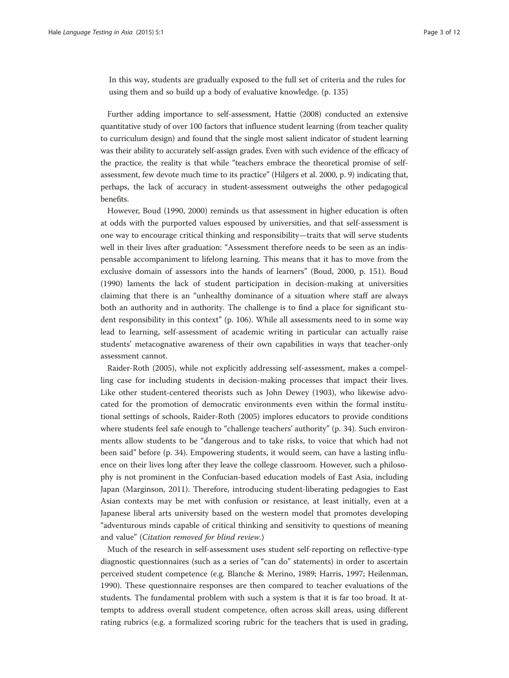In this way, students are gradually exposed to the full set of criteria and the rules for using them and so build up a body of evaluative knowledge. (p. 135)

Further adding importance to self-assessment, Hattie ([2008](#page-11-0)) conducted an extensive quantitative study of over 100 factors that influence student learning (from teacher quality to curriculum design) and found that the single most salient indicator of student learning was their ability to accurately self-assign grades. Even with such evidence of the efficacy of the practice, the reality is that while "teachers embrace the theoretical promise of selfassessment, few devote much time to its practice" (Hilgers et al. [2000,](#page-11-0) p. 9) indicating that, perhaps, the lack of accuracy in student-assessment outweighs the other pedagogical benefits.

However, Boud ([1990, 2000\)](#page-11-0) reminds us that assessment in higher education is often at odds with the purported values espoused by universities, and that self-assessment is one way to encourage critical thinking and responsibility—traits that will serve students well in their lives after graduation: "Assessment therefore needs to be seen as an indispensable accompaniment to lifelong learning. This means that it has to move from the exclusive domain of assessors into the hands of learners" (Boud, [2000](#page-11-0), p. 151). Boud ([1990](#page-11-0)) laments the lack of student participation in decision-making at universities claiming that there is an "unhealthy dominance of a situation where staff are always both an authority and in authority. The challenge is to find a place for significant student responsibility in this context" (p. 106). While all assessments need to in some way lead to learning, self-assessment of academic writing in particular can actually raise students' metacognative awareness of their own capabilities in ways that teacher-only assessment cannot.

Raider-Roth ([2005](#page-11-0)), while not explicitly addressing self-assessment, makes a compelling case for including students in decision-making processes that impact their lives. Like other student-centered theorists such as John Dewey ([1903](#page-11-0)), who likewise advocated for the promotion of democratic environments even within the formal institutional settings of schools, Raider-Roth [\(2005](#page-11-0)) implores educators to provide conditions where students feel safe enough to "challenge teachers' authority" (p. 34). Such environments allow students to be "dangerous and to take risks, to voice that which had not been said" before (p. 34). Empowering students, it would seem, can have a lasting influence on their lives long after they leave the college classroom. However, such a philosophy is not prominent in the Confucian-based education models of East Asia, including Japan (Marginson, [2011\)](#page-11-0). Therefore, introducing student-liberating pedagogies to East Asian contexts may be met with confusion or resistance, at least initially, even at a Japanese liberal arts university based on the western model that promotes developing "adventurous minds capable of critical thinking and sensitivity to questions of meaning and value" (Citation removed for blind review.)

Much of the research in self-assessment uses student self-reporting on reflective-type diagnostic questionnaires (such as a series of "can do" statements) in order to ascertain perceived student competence (e.g. Blanche & Merino, [1989](#page-11-0); Harris, [1997;](#page-11-0) Heilenman, [1990](#page-11-0)). These questionnaire responses are then compared to teacher evaluations of the students. The fundamental problem with such a system is that it is far too broad. It attempts to address overall student competence, often across skill areas, using different rating rubrics (e.g. a formalized scoring rubric for the teachers that is used in grading,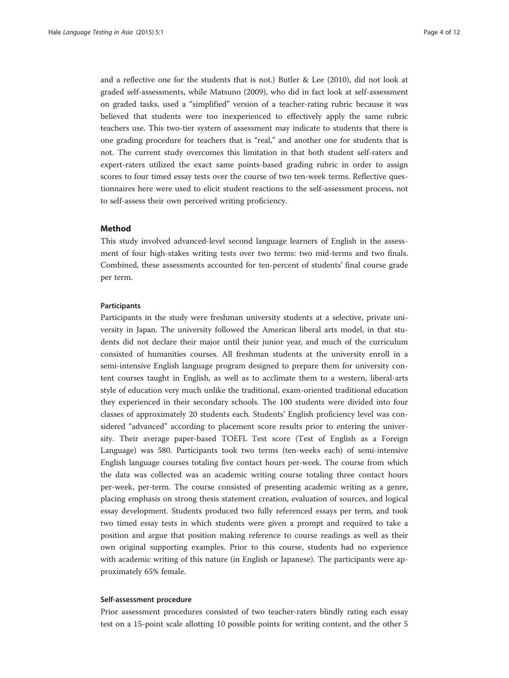and a reflective one for the students that is not.) Butler & Lee [\(2010\)](#page-11-0), did not look at graded self-assessments, while Matsuno [\(2009](#page-11-0)), who did in fact look at self-assessment on graded tasks, used a "simplified" version of a teacher-rating rubric because it was believed that students were too inexperienced to effectively apply the same rubric teachers use. This two-tier system of assessment may indicate to students that there is one grading procedure for teachers that is "real," and another one for students that is not. The current study overcomes this limitation in that both student self-raters and expert-raters utilized the exact same points-based grading rubric in order to assign scores to four timed essay tests over the course of two ten-week terms. Reflective questionnaires here were used to elicit student reactions to the self-assessment process, not to self-assess their own perceived writing proficiency.

#### Method

This study involved advanced-level second language learners of English in the assessment of four high-stakes writing tests over two terms: two mid-terms and two finals. Combined, these assessments accounted for ten-percent of students' final course grade per term.

#### Participants

Participants in the study were freshman university students at a selective, private university in Japan. The university followed the American liberal arts model, in that students did not declare their major until their junior year, and much of the curriculum consisted of humanities courses. All freshman students at the university enroll in a semi-intensive English language program designed to prepare them for university content courses taught in English, as well as to acclimate them to a western, liberal-arts style of education very much unlike the traditional, exam-oriented traditional education they experienced in their secondary schools. The 100 students were divided into four classes of approximately 20 students each. Students' English proficiency level was considered "advanced" according to placement score results prior to entering the university. Their average paper-based TOEFL Test score (Test of English as a Foreign Language) was 580. Participants took two terms (ten-weeks each) of semi-intensive English language courses totaling five contact hours per-week. The course from which the data was collected was an academic writing course totaling three contact hours per-week, per-term. The course consisted of presenting academic writing as a genre, placing emphasis on strong thesis statement creation, evaluation of sources, and logical essay development. Students produced two fully referenced essays per term, and took two timed essay tests in which students were given a prompt and required to take a position and argue that position making reference to course readings as well as their own original supporting examples. Prior to this course, students had no experience with academic writing of this nature (in English or Japanese). The participants were approximately 65% female.

#### Self-assessment procedure

Prior assessment procedures consisted of two teacher-raters blindly rating each essay test on a 15-point scale allotting 10 possible points for writing content, and the other 5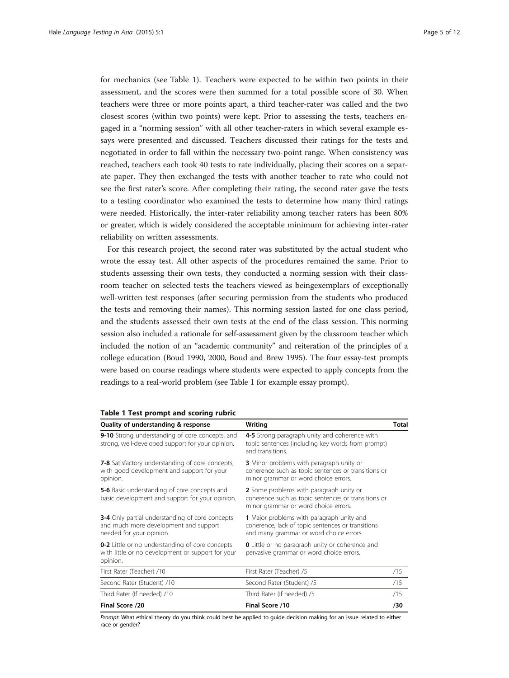for mechanics (see Table 1). Teachers were expected to be within two points in their assessment, and the scores were then summed for a total possible score of 30. When teachers were three or more points apart, a third teacher-rater was called and the two closest scores (within two points) were kept. Prior to assessing the tests, teachers engaged in a "norming session" with all other teacher-raters in which several example essays were presented and discussed. Teachers discussed their ratings for the tests and negotiated in order to fall within the necessary two-point range. When consistency was reached, teachers each took 40 tests to rate individually, placing their scores on a separate paper. They then exchanged the tests with another teacher to rate who could not see the first rater's score. After completing their rating, the second rater gave the tests to a testing coordinator who examined the tests to determine how many third ratings were needed. Historically, the inter-rater reliability among teacher raters has been 80% or greater, which is widely considered the acceptable minimum for achieving inter-rater reliability on written assessments.

For this research project, the second rater was substituted by the actual student who wrote the essay test. All other aspects of the procedures remained the same. Prior to students assessing their own tests, they conducted a norming session with their classroom teacher on selected tests the teachers viewed as beingexemplars of exceptionally well-written test responses (after securing permission from the students who produced the tests and removing their names). This norming session lasted for one class period, and the students assessed their own tests at the end of the class session. This norming session also included a rationale for self-assessment given by the classroom teacher which included the notion of an "academic community" and reiteration of the principles of a college education (Boud [1990](#page-11-0), [2000,](#page-11-0) Boud and Brew [1995](#page-11-0)). The four essay-test prompts were based on course readings where students were expected to apply concepts from the readings to a real-world problem (see Table 1 for example essay prompt).

| Quality of understanding & response                                                                                         | Writing                                                                                                                                          |     |
|-----------------------------------------------------------------------------------------------------------------------------|--------------------------------------------------------------------------------------------------------------------------------------------------|-----|
| 9-10 Strong understanding of core concepts, and<br>strong, well-developed support for your opinion.                         | 4-5 Strong paragraph unity and coherence with<br>topic sentences (including key words from prompt)<br>and transitions.                           |     |
| <b>7-8</b> Satisfactory understanding of core concepts,<br>with good development and support for your<br>opinion.           | <b>3</b> Minor problems with paragraph unity or<br>coherence such as topic sentences or transitions or<br>minor grammar or word choice errors.   |     |
| <b>5-6</b> Basic understanding of core concepts and<br>basic development and support for your opinion.                      | 2 Some problems with paragraph unity or<br>coherence such as topic sentences or transitions or<br>minor grammar or word choice errors.           |     |
| <b>3-4</b> Only partial understanding of core concepts<br>and much more development and support<br>needed for your opinion. | <b>1</b> Major problems with paragraph unity and<br>coherence, lack of topic sentences or transitions<br>and many grammar or word choice errors. |     |
| <b>0-2</b> Little or no understanding of core concepts<br>with little or no development or support for your<br>opinion.     | <b>0</b> Little or no paragraph unity or coherence and<br>pervasive grammar or word choice errors.                                               |     |
| First Rater (Teacher) /10                                                                                                   | First Rater (Teacher) /5                                                                                                                         | /15 |
| Second Rater (Student) /10                                                                                                  | Second Rater (Student) /5                                                                                                                        | /15 |
| Third Rater (If needed) /10                                                                                                 | Third Rater (If needed) /5                                                                                                                       | /15 |
| Final Score /20                                                                                                             | Final Score /10                                                                                                                                  | /30 |

#### Table 1 Test prompt and scoring rubric

Prompt: What ethical theory do you think could best be applied to guide decision making for an issue related to either race or gender?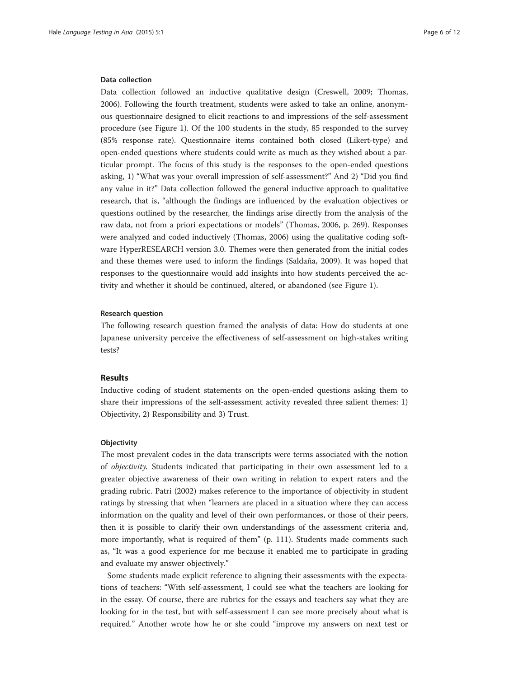#### Data collection

Data collection followed an inductive qualitative design (Creswell, [2009;](#page-11-0) Thomas, [2006](#page-11-0)). Following the fourth treatment, students were asked to take an online, anonymous questionnaire designed to elicit reactions to and impressions of the self-assessment procedure (see Figure [1](#page-6-0)). Of the 100 students in the study, 85 responded to the survey (85% response rate). Questionnaire items contained both closed (Likert-type) and open-ended questions where students could write as much as they wished about a particular prompt. The focus of this study is the responses to the open-ended questions asking, 1) "What was your overall impression of self-assessment?" And 2) "Did you find any value in it?" Data collection followed the general inductive approach to qualitative research, that is, "although the findings are influenced by the evaluation objectives or questions outlined by the researcher, the findings arise directly from the analysis of the raw data, not from a priori expectations or models" (Thomas, [2006](#page-11-0), p. 269). Responses were analyzed and coded inductively (Thomas, [2006\)](#page-11-0) using the qualitative coding software HyperRESEARCH version 3.0. Themes were then generated from the initial codes and these themes were used to inform the findings (Saldaña, [2009](#page-11-0)). It was hoped that responses to the questionnaire would add insights into how students perceived the activity and whether it should be continued, altered, or abandoned (see Figure [1](#page-6-0)).

#### Research question

The following research question framed the analysis of data: How do students at one Japanese university perceive the effectiveness of self-assessment on high-stakes writing tests?

#### Results

Inductive coding of student statements on the open-ended questions asking them to share their impressions of the self-assessment activity revealed three salient themes: 1) Objectivity, 2) Responsibility and 3) Trust.

#### **Objectivity**

The most prevalent codes in the data transcripts were terms associated with the notion of objectivity. Students indicated that participating in their own assessment led to a greater objective awareness of their own writing in relation to expert raters and the grading rubric. Patri [\(2002\)](#page-11-0) makes reference to the importance of objectivity in student ratings by stressing that when "learners are placed in a situation where they can access information on the quality and level of their own performances, or those of their peers, then it is possible to clarify their own understandings of the assessment criteria and, more importantly, what is required of them" (p. 111). Students made comments such as, "It was a good experience for me because it enabled me to participate in grading and evaluate my answer objectively."

Some students made explicit reference to aligning their assessments with the expectations of teachers: "With self-assessment, I could see what the teachers are looking for in the essay. Of course, there are rubrics for the essays and teachers say what they are looking for in the test, but with self-assessment I can see more precisely about what is required." Another wrote how he or she could "improve my answers on next test or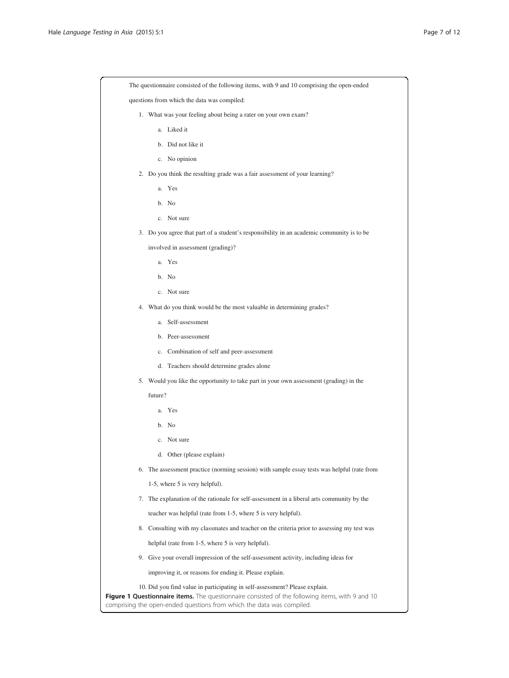<span id="page-6-0"></span>

| The questionnaire consisted of the following items, with 9 and 10 comprising the open-ended                                                                                           |
|---------------------------------------------------------------------------------------------------------------------------------------------------------------------------------------|
| questions from which the data was compiled:                                                                                                                                           |
| 1. What was your feeling about being a rater on your own exam?                                                                                                                        |
| a. Liked it                                                                                                                                                                           |
| b. Did not like it                                                                                                                                                                    |
| c. No opinion                                                                                                                                                                         |
| 2. Do you think the resulting grade was a fair assessment of your learning?                                                                                                           |
| a. Yes                                                                                                                                                                                |
| b. No                                                                                                                                                                                 |
| c. Not sure                                                                                                                                                                           |
| 3. Do you agree that part of a student's responsibility in an academic community is to be                                                                                             |
| involved in assessment (grading)?                                                                                                                                                     |
| a. Yes                                                                                                                                                                                |
| b. No                                                                                                                                                                                 |
| c. Not sure                                                                                                                                                                           |
| 4. What do you think would be the most valuable in determining grades?                                                                                                                |
| a. Self-assessment                                                                                                                                                                    |
| b. Peer-assessment                                                                                                                                                                    |
| c. Combination of self and peer-assessment                                                                                                                                            |
| d. Teachers should determine grades alone                                                                                                                                             |
| 5. Would you like the opportunity to take part in your own assessment (grading) in the                                                                                                |
| future?                                                                                                                                                                               |
| a. Yes                                                                                                                                                                                |
| b. No                                                                                                                                                                                 |
| c. Not sure                                                                                                                                                                           |
| d. Other (please explain)                                                                                                                                                             |
| 6. The assessment practice (norming session) with sample essay tests was helpful (rate from                                                                                           |
| 1-5, where 5 is very helpful).                                                                                                                                                        |
| 7. The explanation of the rationale for self-assessment in a liberal arts community by the                                                                                            |
| teacher was helpful (rate from 1-5, where 5 is very helpful).                                                                                                                         |
| 8. Consulting with my classmates and teacher on the criteria prior to assessing my test was                                                                                           |
| helpful (rate from 1-5, where 5 is very helpful).                                                                                                                                     |
| 9. Give your overall impression of the self-assessment activity, including ideas for                                                                                                  |
| improving it, or reasons for ending it. Please explain.                                                                                                                               |
| 10. Did you find value in participating in self-assessment? Please explain.<br><b>Figure 1 Questionnaire items.</b> The questionnaire consisted of the following items, with 9 and 10 |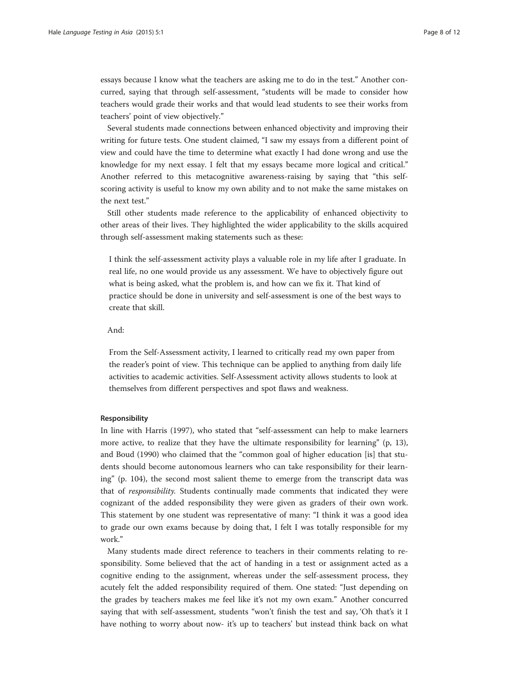essays because I know what the teachers are asking me to do in the test." Another concurred, saying that through self-assessment, "students will be made to consider how teachers would grade their works and that would lead students to see their works from teachers' point of view objectively."

Several students made connections between enhanced objectivity and improving their writing for future tests. One student claimed, "I saw my essays from a different point of view and could have the time to determine what exactly I had done wrong and use the knowledge for my next essay. I felt that my essays became more logical and critical." Another referred to this metacognitive awareness-raising by saying that "this selfscoring activity is useful to know my own ability and to not make the same mistakes on the next test."

Still other students made reference to the applicability of enhanced objectivity to other areas of their lives. They highlighted the wider applicability to the skills acquired through self-assessment making statements such as these:

I think the self-assessment activity plays a valuable role in my life after I graduate. In real life, no one would provide us any assessment. We have to objectively figure out what is being asked, what the problem is, and how can we fix it. That kind of practice should be done in university and self-assessment is one of the best ways to create that skill.

#### And:

From the Self-Assessment activity, I learned to critically read my own paper from the reader's point of view. This technique can be applied to anything from daily life activities to academic activities. Self-Assessment activity allows students to look at themselves from different perspectives and spot flaws and weakness.

#### Responsibility

In line with Harris ([1997](#page-11-0)), who stated that "self-assessment can help to make learners more active, to realize that they have the ultimate responsibility for learning" (p, 13), and Boud ([1990](#page-11-0)) who claimed that the "common goal of higher education [is] that students should become autonomous learners who can take responsibility for their learning" (p. 104), the second most salient theme to emerge from the transcript data was that of responsibility. Students continually made comments that indicated they were cognizant of the added responsibility they were given as graders of their own work. This statement by one student was representative of many: "I think it was a good idea to grade our own exams because by doing that, I felt I was totally responsible for my work."

Many students made direct reference to teachers in their comments relating to responsibility. Some believed that the act of handing in a test or assignment acted as a cognitive ending to the assignment, whereas under the self-assessment process, they acutely felt the added responsibility required of them. One stated: "Just depending on the grades by teachers makes me feel like it's not my own exam." Another concurred saying that with self-assessment, students "won't finish the test and say, 'Oh that's it I have nothing to worry about now- it's up to teachers' but instead think back on what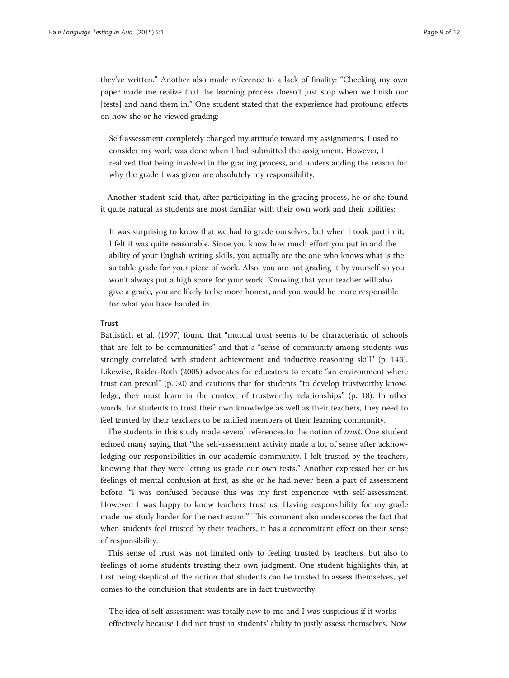they've written." Another also made reference to a lack of finality: "Checking my own paper made me realize that the learning process doesn't just stop when we finish our [tests] and hand them in." One student stated that the experience had profound effects on how she or he viewed grading:

Self-assessment completely changed my attitude toward my assignments. I used to consider my work was done when I had submitted the assignment. However, I realized that being involved in the grading process, and understanding the reason for why the grade I was given are absolutely my responsibility.

Another student said that, after participating in the grading process, he or she found it quite natural as students are most familiar with their own work and their abilities:

It was surprising to know that we had to grade ourselves, but when I took part in it, I felt it was quite reasonable. Since you know how much effort you put in and the ability of your English writing skills, you actually are the one who knows what is the suitable grade for your piece of work. Also, you are not grading it by yourself so you won't always put a high score for your work. Knowing that your teacher will also give a grade, you are likely to be more honest, and you would be more responsible for what you have handed in.

#### **Trust**

Battistich et al. ([1997\)](#page-11-0) found that "mutual trust seems to be characteristic of schools that are felt to be communities" and that a "sense of community among students was strongly correlated with student achievement and inductive reasoning skill" (p. 143). Likewise, Raider-Roth [\(2005\)](#page-11-0) advocates for educators to create "an environment where trust can prevail" (p. 30) and cautions that for students "to develop trustworthy knowledge, they must learn in the context of trustworthy relationships" (p. 18). In other words, for students to trust their own knowledge as well as their teachers, they need to feel trusted by their teachers to be ratified members of their learning community.

The students in this study made several references to the notion of trust. One student echoed many saying that "the self-assessment activity made a lot of sense after acknowledging our responsibilities in our academic community. I felt trusted by the teachers, knowing that they were letting us grade our own tests." Another expressed her or his feelings of mental confusion at first, as she or he had never been a part of assessment before: "I was confused because this was my first experience with self-assessment. However, I was happy to know teachers trust us. Having responsibility for my grade made me study harder for the next exam." This comment also underscores the fact that when students feel trusted by their teachers, it has a concomitant effect on their sense of responsibility.

This sense of trust was not limited only to feeling trusted by teachers, but also to feelings of some students trusting their own judgment. One student highlights this, at first being skeptical of the notion that students can be trusted to assess themselves, yet comes to the conclusion that students are in fact trustworthy:

The idea of self-assessment was totally new to me and I was suspicious if it works effectively because I did not trust in students' ability to justly assess themselves. Now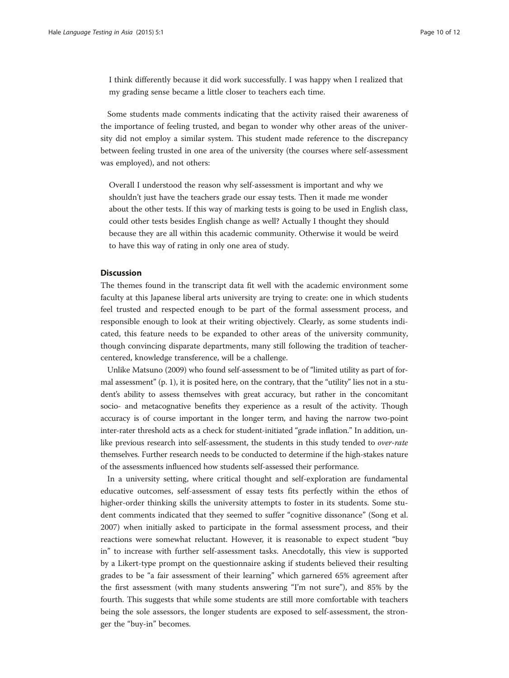I think differently because it did work successfully. I was happy when I realized that my grading sense became a little closer to teachers each time.

Some students made comments indicating that the activity raised their awareness of the importance of feeling trusted, and began to wonder why other areas of the university did not employ a similar system. This student made reference to the discrepancy between feeling trusted in one area of the university (the courses where self-assessment was employed), and not others:

Overall I understood the reason why self-assessment is important and why we shouldn't just have the teachers grade our essay tests. Then it made me wonder about the other tests. If this way of marking tests is going to be used in English class, could other tests besides English change as well? Actually I thought they should because they are all within this academic community. Otherwise it would be weird to have this way of rating in only one area of study.

#### **Discussion**

The themes found in the transcript data fit well with the academic environment some faculty at this Japanese liberal arts university are trying to create: one in which students feel trusted and respected enough to be part of the formal assessment process, and responsible enough to look at their writing objectively. Clearly, as some students indicated, this feature needs to be expanded to other areas of the university community, though convincing disparate departments, many still following the tradition of teachercentered, knowledge transference, will be a challenge.

Unlike Matsuno [\(2009](#page-11-0)) who found self-assessment to be of "limited utility as part of formal assessment" (p. 1), it is posited here, on the contrary, that the "utility" lies not in a student's ability to assess themselves with great accuracy, but rather in the concomitant socio- and metacognative benefits they experience as a result of the activity. Though accuracy is of course important in the longer term, and having the narrow two-point inter-rater threshold acts as a check for student-initiated "grade inflation." In addition, unlike previous research into self-assessment, the students in this study tended to over-rate themselves. Further research needs to be conducted to determine if the high-stakes nature of the assessments influenced how students self-assessed their performance.

In a university setting, where critical thought and self-exploration are fundamental educative outcomes, self-assessment of essay tests fits perfectly within the ethos of higher-order thinking skills the university attempts to foster in its students. Some student comments indicated that they seemed to suffer "cognitive dissonance" (Song et al. [2007](#page-11-0)) when initially asked to participate in the formal assessment process, and their reactions were somewhat reluctant. However, it is reasonable to expect student "buy in" to increase with further self-assessment tasks. Anecdotally, this view is supported by a Likert-type prompt on the questionnaire asking if students believed their resulting grades to be "a fair assessment of their learning" which garnered 65% agreement after the first assessment (with many students answering "I'm not sure"), and 85% by the fourth. This suggests that while some students are still more comfortable with teachers being the sole assessors, the longer students are exposed to self-assessment, the stronger the "buy-in" becomes.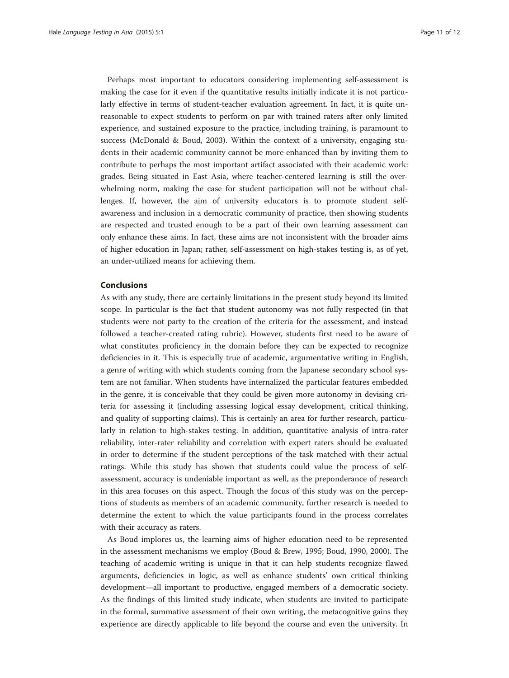Perhaps most important to educators considering implementing self-assessment is making the case for it even if the quantitative results initially indicate it is not particularly effective in terms of student-teacher evaluation agreement. In fact, it is quite unreasonable to expect students to perform on par with trained raters after only limited experience, and sustained exposure to the practice, including training, is paramount to success (McDonald & Boud, [2003\)](#page-11-0). Within the context of a university, engaging students in their academic community cannot be more enhanced than by inviting them to contribute to perhaps the most important artifact associated with their academic work: grades. Being situated in East Asia, where teacher-centered learning is still the overwhelming norm, making the case for student participation will not be without challenges. If, however, the aim of university educators is to promote student selfawareness and inclusion in a democratic community of practice, then showing students are respected and trusted enough to be a part of their own learning assessment can only enhance these aims. In fact, these aims are not inconsistent with the broader aims of higher education in Japan; rather, self-assessment on high-stakes testing is, as of yet, an under-utilized means for achieving them.

#### Conclusions

As with any study, there are certainly limitations in the present study beyond its limited scope. In particular is the fact that student autonomy was not fully respected (in that students were not party to the creation of the criteria for the assessment, and instead followed a teacher-created rating rubric). However, students first need to be aware of what constitutes proficiency in the domain before they can be expected to recognize deficiencies in it. This is especially true of academic, argumentative writing in English, a genre of writing with which students coming from the Japanese secondary school system are not familiar. When students have internalized the particular features embedded in the genre, it is conceivable that they could be given more autonomy in devising criteria for assessing it (including assessing logical essay development, critical thinking, and quality of supporting claims). This is certainly an area for further research, particularly in relation to high-stakes testing. In addition, quantitative analysis of intra-rater reliability, inter-rater reliability and correlation with expert raters should be evaluated in order to determine if the student perceptions of the task matched with their actual ratings. While this study has shown that students could value the process of selfassessment, accuracy is undeniable important as well, as the preponderance of research in this area focuses on this aspect. Though the focus of this study was on the perceptions of students as members of an academic community, further research is needed to determine the extent to which the value participants found in the process correlates with their accuracy as raters.

As Boud implores us, the learning aims of higher education need to be represented in the assessment mechanisms we employ (Boud & Brew, [1995;](#page-11-0) Boud, [1990](#page-11-0), [2000](#page-11-0)). The teaching of academic writing is unique in that it can help students recognize flawed arguments, deficiencies in logic, as well as enhance students' own critical thinking development—all important to productive, engaged members of a democratic society. As the findings of this limited study indicate, when students are invited to participate in the formal, summative assessment of their own writing, the metacognitive gains they experience are directly applicable to life beyond the course and even the university. In